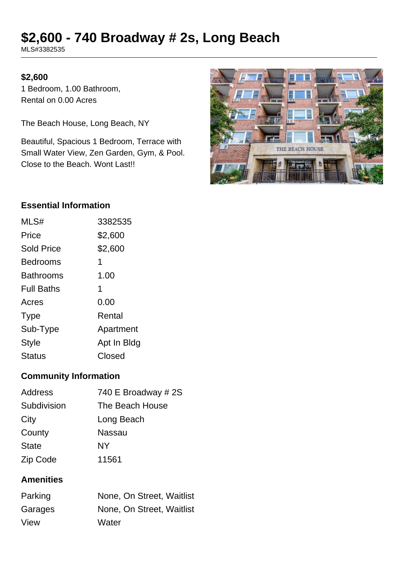# **\$2,600 - 740 Broadway # 2s, Long Beach**

MLS#3382535

#### **\$2,600**

1 Bedroom, 1.00 Bathroom, Rental on 0.00 Acres

The Beach House, Long Beach, NY

Beautiful, Spacious 1 Bedroom, Terrace with Small Water View, Zen Garden, Gym, & Pool. Close to the Beach. Wont Last!!



## **Essential Information**

| MLS#              | 3382535     |
|-------------------|-------------|
| Price             | \$2,600     |
| <b>Sold Price</b> | \$2,600     |
| <b>Bedrooms</b>   | 1           |
| <b>Bathrooms</b>  | 1.00        |
| <b>Full Baths</b> | 1           |
| Acres             | 0.00        |
| Type              | Rental      |
| Sub-Type          | Apartment   |
| <b>Style</b>      | Apt In Bldg |
| <b>Status</b>     | Closed      |

## **Community Information**

| <b>Address</b> | 740 E Broadway # 2S |
|----------------|---------------------|
| Subdivision    | The Beach House     |
| City           | Long Beach          |
| County         | Nassau              |
| <b>State</b>   | NΥ                  |
| Zip Code       | 11561               |

## **Amenities**

| Parking | None, On Street, Waitlist |
|---------|---------------------------|
| Garages | None, On Street, Waitlist |
| View    | Water                     |